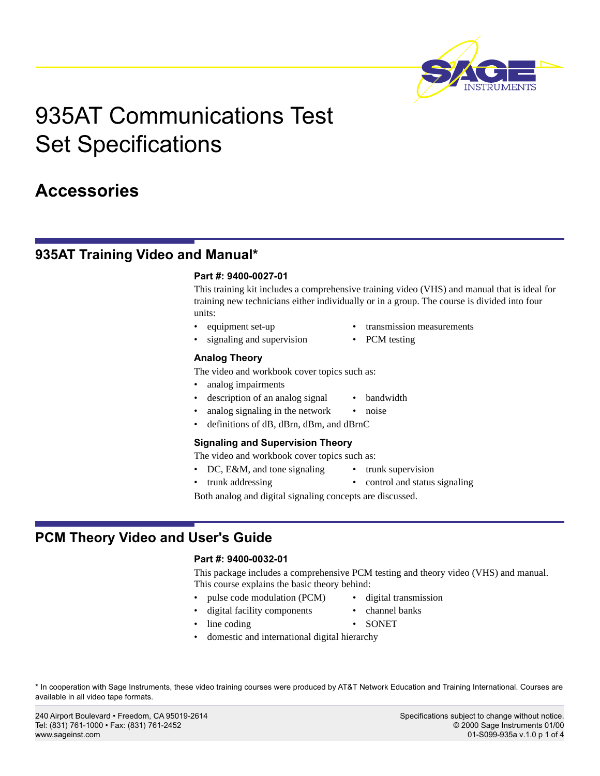

# 935AT Communications Test Set Specifications

## **Accessories**

## **935AT Training Video and Manual\***

#### **Part #: 9400-0027-01**

This training kit includes a comprehensive training video (VHS) and manual that is ideal for training new technicians either individually or in a group. The course is divided into four units:

- - equipment set-up transmission measurements
- signaling and supervision PCM testing
- 

**Analog Theory**

The video and workbook cover topics such as:

- analog impairments
	- description of an analog signal bandwidth
	- analog signaling in the network noise
- definitions of dB, dBrn, dBm, and dBrnC

#### **Signaling and Supervision Theory**

The video and workbook cover topics such as:

- DC, E&M, and tone signaling trunk supervision
- trunk addressing control and status signaling

Both analog and digital signaling concepts are discussed.

## **PCM Theory Video and User's Guide**

#### **Part #: 9400-0032-01**

This package includes a comprehensive PCM testing and theory video (VHS) and manual. This course explains the basic theory behind:

- pulse code modulation (PCM) digital transmission
	- digital facility components channel banks
		-
- line coding SONET
	- domestic and international digital hierarchy

\* In cooperation with Sage Instruments, these video training courses were produced by AT&T Network Education and Training International. Courses are available in all video tape formats.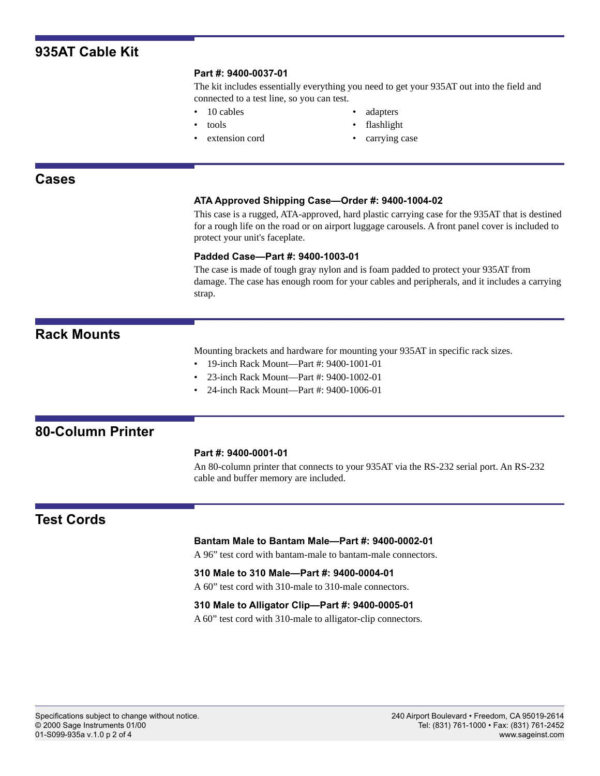## **935AT Cable Kit**

#### **Part #: 9400-0037-01**

The kit includes essentially everything you need to get your 935AT out into the field and connected to a test line, so you can test.

- 
- 
- 
- 10 cables adapters
- tools flashlight
- extension cord carrying case

#### **Cases**

#### **ATA Approved Shipping Case—Order #: 9400-1004-02**

This case is a rugged, ATA-approved, hard plastic carrying case for the 935AT that is destined for a rough life on the road or on airport luggage carousels. A front panel cover is included to protect your unit's faceplate.

#### **Padded Case—Part #: 9400-1003-01**

The case is made of tough gray nylon and is foam padded to protect your 935AT from damage. The case has enough room for your cables and peripherals, and it includes a carrying strap.

### **Rack Mounts**

Mounting brackets and hardware for mounting your 935AT in specific rack sizes.

- 19-inch Rack Mount—Part #: 9400-1001-01
- 23-inch Rack Mount—Part #: 9400-1002-01
- 24-inch Rack Mount—Part #: 9400-1006-01

## **80-Column Printer**

#### **Part #: 9400-0001-01**

An 80-column printer that connects to your 935AT via the RS-232 serial port. An RS-232 cable and buffer memory are included.

## **Test Cords**

#### **Bantam Male to Bantam Male—Part #: 9400-0002-01**

A 96" test cord with bantam-male to bantam-male connectors.

#### **310 Male to 310 Male—Part #: 9400-0004-01**

A 60" test cord with 310-male to 310-male connectors.

#### **310 Male to Alligator Clip—Part #: 9400-0005-01**

A 60" test cord with 310-male to alligator-clip connectors.